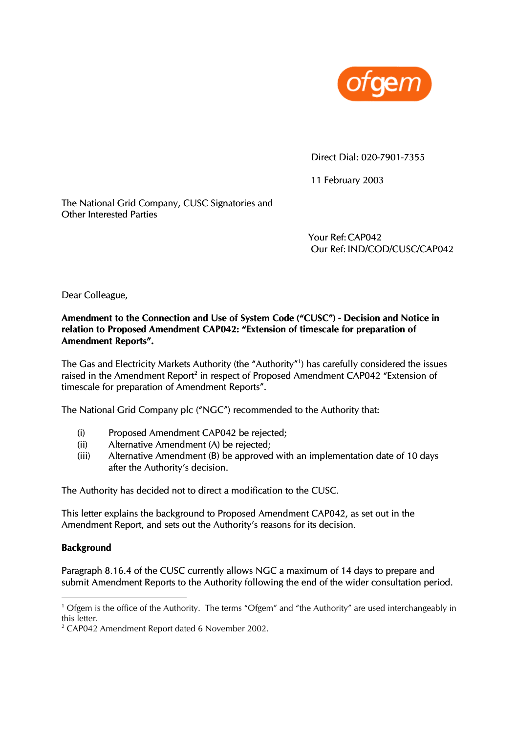

Direct Dial: 020-7901-7355

11 February 2003

Other Interested Parties The National Grid Company, CUSC Signatories and

> Your Ref: CAP042 Our Ref: IND/COD/CUSC/CAP042

Dear Colleague,

# **d Notice in Amendment to the Connection and Use of System Code ("CUSC") - Decision an relation to Proposed Amendment CAP042: "Extension of timescale for preparation of Amendment Reports".**

The Gas and Electricity Markets Authority (the "Authority"[1](#page-0-0) ) has carefully considered the issues raised in the Amendment Report<sup>[2](#page-0-1)</sup> in respect of Proposed Amendment CAP042 "Extension of timescale for preparation of Amendment Reports".

The National Grid Company plc ("NGC") recommended to the Authority that:

- (i) Proposed Amendment CAP042 be rejected;
- (ii) Alternative Amendment (A) be rejected;
- $(iii)$  Alternative Amendment (B) be approved with an implementation date of 10 days after the Authority's decision.

The Authority has decided not to direct a modification to the CUSC.

This letter explains the background to Proposed Amendment CAP042, as set out in the Amendment Report, and sets out the Authority's reasons for its decision.

#### **Background**

 $\overline{a}$ 

Paragraph 8.16.4 of the CUSC currently allows NGC a maximum of 14 days to prepare and submit Amendment Reports to the Authority following the end of the wider consultation period.

<span id="page-0-0"></span><sup>&</sup>lt;sup>1</sup> Ofgem is the office of the Authority. The terms "Ofgem" and "the Authority" are used interchangeably in this letter.

<span id="page-0-1"></span> $2^2$  CAP042 Amendment Report dated 6 November 2002.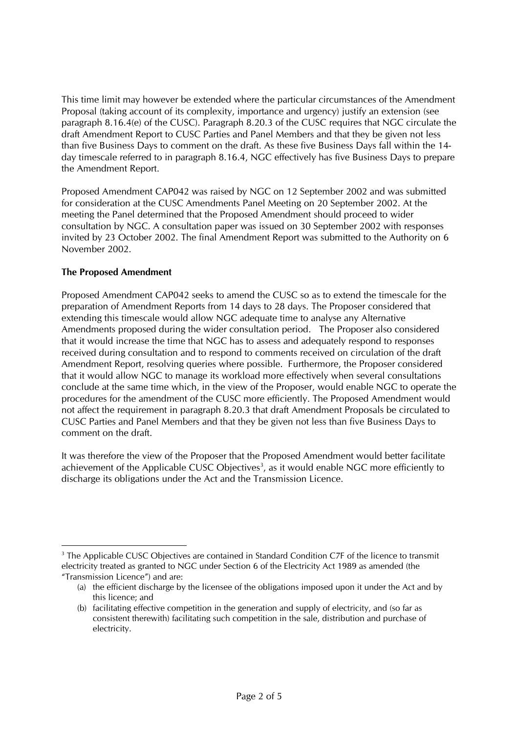This time limit may however be extended where the particular circumstances o f the Amendment Proposal (taking account of its complexity, importance and urgency) justify an e xtension (see paragraph 8.16.4(e) of the CUSC). Paragraph 8.20.3 of the CUSC requires that NG C circulate the draft Amendment Report to CUSC Parties and Panel Members and that they be giv en not less than five Business D ays to comment on the draft. As these five Business Days fall within the 14 day timescale referred to in paragraph 8.16.4, NGC effectively has five Business Days to prepare the Amendment Report.

Proposed Amendment CAP042 was raised by NGC on 12 September 2002 and was submitted for consideration at the CUSC Amendments Panel Meeting on 20 September 2002. At the meeting the Panel determined that the Proposed Amendment should proceed to wider consultation by NGC. A consultation paper was issued on 30 September 2002 with responses invited by 23 October 2002. The final Amendment Report was submitted to the Authority on 6 November 2002.

# **The Proposed Amendment**

 $\overline{a}$ 

Proposed Amendment CAP042 seeks to amend the CUSC so as to extend the timescale for the preparation of Amendment Reports from 14 days to 28 days. The Proposer considered that extending this timescale would allow NGC adequate time to analyse any Alternative Amendments proposed during the wider consultation period. The Proposer also considered that it would increase the time that NGC has to assess and adequately respond to responses received during consultation and to respond to comments received on circulation of the draft Amendment Report, resolving queries where possible. Furthermore, the Proposer considered that it would allow NGC to manage its workload more effectively when several consultations conclude at the same time which, in the view of the Proposer, would enable NGC to operate the procedures for the amendment of the CUSC more efficiently. The Proposed Amendment would not affect the requirement in paragraph 8.20.3 that draft Amendment Proposals be circulated to CUSC Parties and Panel Members and that they be given not less than five Business Days to comment on the draft.

It was therefore the view of the Proposer that the Proposed Amendment would better facilitate achievement of the Applicable CUSC Objectives<sup>[3](#page-1-0)</sup>, as it would enable NGC more efficiently to discharge its obligations under the Act and the Transmission Licence.

<span id="page-1-0"></span> $3$  The Applicable CUSC Objectives are contained in Standard Condition C7F of the licence to transmit electricity treated as granted to NGC under Section 6 of the Electricity Act 1989 as amended (the "Transmission Licence") and are:

<sup>(</sup>a) the efficient discharge by the licensee of the obligations imposed upon it under the Act and by this licence; and

<sup>(</sup>b) facilitating effective competition in the generation and supply of electricity, and (so far as consistent therewith) facilitating such competition in the sale, distribution and purchase of electricity.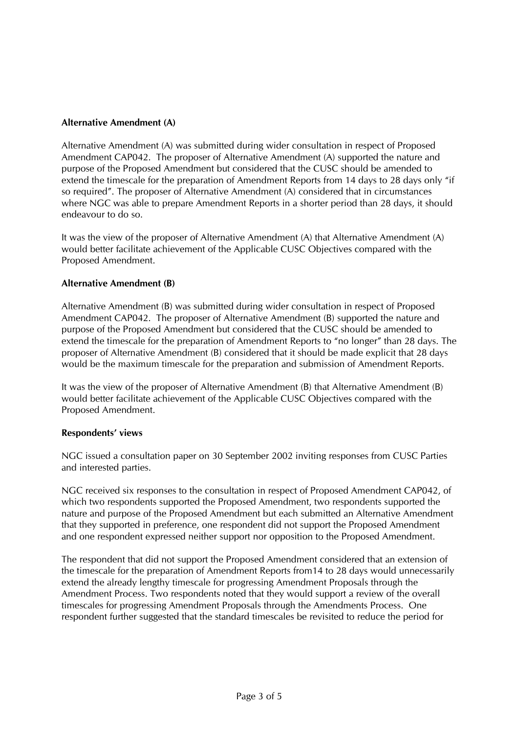# **Alternative Amendment (A)**

Alternative Amendment (A) was submitted during wider consultation in respect of Proposed Amendment CAP042. The proposer of Alternative Amendment (A) supported the nature and purpose of the Proposed Amendment but considered that the CUSC should be amended to extend the timescale for the preparation of Amendment Reports from 14 days to 28 days only "if so required". The proposer of Alternative Amendment (A) considered that in circumstances where NGC was able to prepare Amendment Reports in a shorter period than 28 days, it should endeavour to do so.

It was the view of the proposer of Alternative Amendment (A) that Alternative Amendment (A) would better facilitate achievement of the Applicable CUSC Objectives compared with the Proposed Amendment.

## **Alternative Amendment (B)**

Alternative Amendment (B) was submitted during wider consultation in respect of Proposed Amendment CAP042. The proposer of Alternative Amendment (B) supported the nature and purpose of the Proposed Amendment but considered that the CUSC should be amended to extend the timescale for the preparation of Amendment Reports to "no longer" than 28 days. The proposer of Alternative Amendment (B) considered that it should be made explicit that 28 days would be the maximum timescale for the preparation and submission of Amendment Reports.

It was the view of the proposer of Alternative Amendment (B) that Alternative Amendment (B) would better facilitate achievement of the Applicable CUSC Objectives compared with the Proposed Amendment.

## **Respondents' views**

NGC issued a consultation paper on 30 September 2002 inviting responses from CUSC Parties and interested parties.

NGC received six responses to the consultation in respect of Proposed Amendment CAP042, of which two respondents supported the Proposed Amendment, two respondents supported the nature and purpose of the Proposed Amendment but each submitted an Alternative Amendment that they supported in preference, one respondent did not support the Proposed Amendment and one respondent expressed neither support nor opposition to the Proposed Amendment.

The respondent that did not support the Proposed Amendment considered that an extension of the timescale for the preparation of Amendment Reports from14 to 28 days would unnecessarily extend the already lengthy timescale for progressing Amendment Proposals through the Amendment Process. Two respondents noted that they would support a review of the overall timescales for progressing Amendment Proposals through the Amendments Process. One respondent further suggested that the standard timescales be revisited to reduce the period for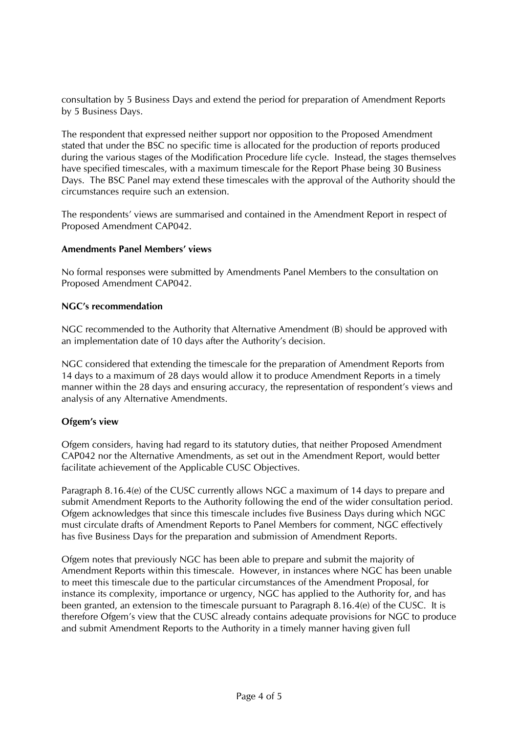consultation by 5 Business Days and extend the period for preparation of Amendment Reports by 5 Business Days.

The respondent that expressed neither support nor opposition to the Proposed Amendment stated that under the BSC no specific time is allocated for the production of reports produced during the various stages of the Modification Procedure life cycle. Instead, the stages themselves have specified timescales, with a maximum timescale for the Report Phase being 30 Business Days. The BSC Panel may extend these timescales with the approval of the Authority should the circumstances require such an extension.

The respondents' views are summarised and contained in the Amendment Report in respect of Proposed Amendment CAP042.

#### **Amendments Panel Members' views**

No formal responses were submitted by Amendments Panel Members to the consultation on Proposed Amendment CAP042.

#### **NGC's recommendation**

NGC recommended to the Authority that Alternative Amendment (B) should be approved with an implementation date of 10 days after the Authority's decision.

NGC considered that extending the timescale for the preparation of Amendment Reports from 14 days to a maximum of 28 days would allow it to produce Amendment Reports in a timely manner within the 28 days and ensuring accuracy, the representation of respondent's views and analysis of any Alternative Amendments.

## **Ofgem's view**

Ofgem considers, having had regard to its statutory duties, that neither Proposed Amendment CAP042 nor the Alternative Amendments, as set out in the Amendment Report, would better facilitate achievement of the Applicable CUSC Objectives.

Paragraph 8.16.4(e) of the CUSC currently allows NGC a maximum of 14 days to prepare and submit Amendment Reports to the Authority following the end of the wider consultation period. Ofgem acknowledges that since this timescale includes five Business Days during which NGC must circulate drafts of Amendment Reports to Panel Members for comment, NGC effectively has five Business Days for the preparation and submission of Amendment Reports.

Ofgem notes that previously NGC has been able to prepare and submit the majority of Amendment Reports within this timescale. However, in instances where NGC has been unable to meet this timescale due to the particular circumstances of the Amendment Proposal, for instance its complexity, importance or urgency, NGC has applied to the Authority for, and has been granted, an extension to the timescale pursuant to Paragraph 8.16.4(e) of the CUSC. It is therefore Ofgem's view that the CUSC already contains adequate provisions for NGC to produce and submit Amendment Reports to the Authority in a timely manner having given full